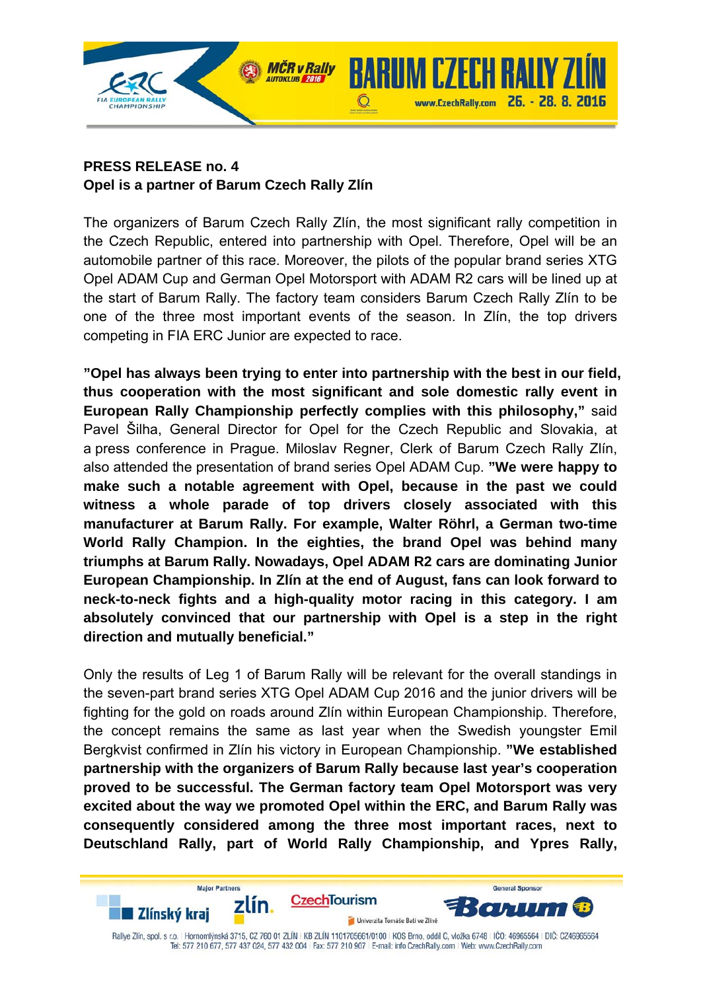

## **PRESS RELEASE no. 4 Opel is a partner of Barum Czech Rally Zlín**

The organizers of Barum Czech Rally Zlín, the most significant rally competition in the Czech Republic, entered into partnership with Opel. Therefore, Opel will be an automobile partner of this race. Moreover, the pilots of the popular brand series XTG Opel ADAM Cup and German Opel Motorsport with ADAM R2 cars will be lined up at the start of Barum Rally. The factory team considers Barum Czech Rally Zlín to be one of the three most important events of the season. In Zlín, the top drivers competing in FIA ERC Junior are expected to race.

www.CzechRally.com 26. - 28. 8. 2016

**General Sponso** 

**"Opel has always been trying to enter into partnership with the best in our field, thus cooperation with the most significant and sole domestic rally event in European Rally Championship perfectly complies with this philosophy,"** said Pavel Šilha, General Director for Opel for the Czech Republic and Slovakia, at a press conference in Prague. Miloslav Regner, Clerk of Barum Czech Rally Zlín, also attended the presentation of brand series Opel ADAM Cup. **"We were happy to make such a notable agreement with Opel, because in the past we could witness a whole parade of top drivers closely associated with this manufacturer at Barum Rally. For example, Walter Röhrl, a German two-time World Rally Champion. In the eighties, the brand Opel was behind many triumphs at Barum Rally. Nowadays, Opel ADAM R2 cars are dominating Junior European Championship. In Zlín at the end of August, fans can look forward to neck-to-neck fights and a high-quality motor racing in this category. I am absolutely convinced that our partnership with Opel is a step in the right direction and mutually beneficial."** 

Only the results of Leg 1 of Barum Rally will be relevant for the overall standings in the seven-part brand series XTG Opel ADAM Cup 2016 and the junior drivers will be fighting for the gold on roads around Zlín within European Championship. Therefore, the concept remains the same as last year when the Swedish youngster Emil Bergkvist confirmed in Zlín his victory in European Championship. **"We established partnership with the organizers of Barum Rally because last year's cooperation proved to be successful. The German factory team Opel Motorsport was very excited about the way we promoted Opel within the ERC, and Barum Rally was consequently considered among the three most important races, next to Deutschland Rally, part of World Rally Championship, and Ypres Rally,** 

**CzechTourism** zlín.  $\bullet$  , , , , , , Ä ∎ Zlínský kraj Univerzita Tomáše Bati ve Zlíně Rallye Zlín, spol. s r.o. | Hornomlýnská 3715, CZ 760 01 ZLÍN | KB ZLÍN 1101705661/0100 | KOS Brno, oddíl C, vložka 6748 | IČC: 46965564 | DIČ: CZ46965564 Tel: 577 210 677, 577 437 024, 577 432 004 | Fax: 577 210 907 | E-mail: info CzechRally.com | Web: www.CzechRally.com

**Major Partners**